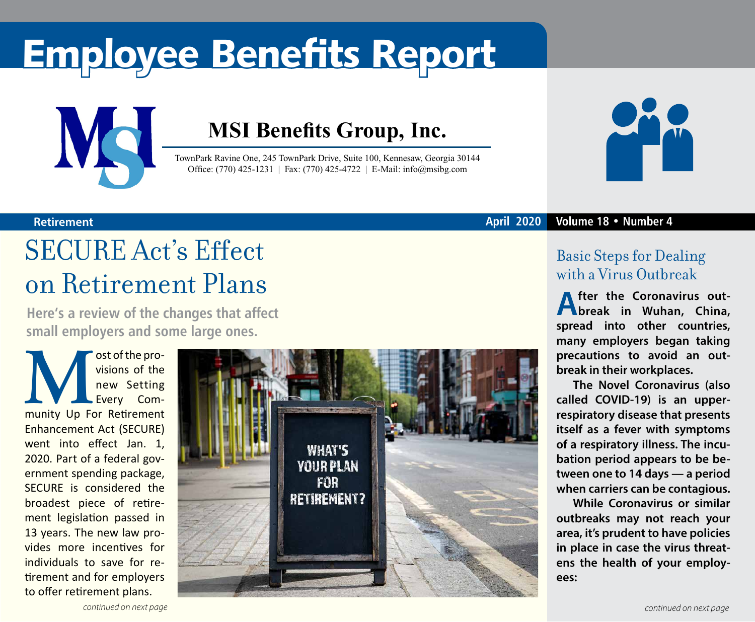# Employee Benefits Report



### **MSI Benefits Group, Inc.**

TownPark Ravine One, 245 TownPark Drive, Suite 100, Kennesaw, Georgia 30144 Office: (770) 425-1231 | Fax: (770) 425-4722 | E-Mail: info@msibg.com



#### **Retirement April 2020 Volume 18 • Number 4**

### SECURE Act's Effect on Retirement Plans

**Here's a review of the changes that affect small employers and some large ones.**

**Munity Up For Retirement** visions of the new Setting Every Com-Enhancement Act (SECURE) went into effect Jan. 1, 2020. Part of a federal government spending package, SECURE is considered the broadest piece of retirement legislation passed in 13 years. The new law provides more incentives for individuals to save for retirement and for employers to offer retirement plans.



### Basic Steps for Dealing with a Virus Outbreak

**After the Coronavirus out-break in Wuhan, China, spread into other countries, many employers began taking precautions to avoid an outbreak in their workplaces.**

**The Novel Coronavirus (also called COVID-19) is an upperrespiratory disease that presents itself as a fever with symptoms of a respiratory illness. The incubation period appears to be between one to 14 days — a period when carriers can be contagious.** 

**While Coronavirus or similar outbreaks may not reach your area, it's prudent to have policies in place in case the virus threatens the health of your employees:**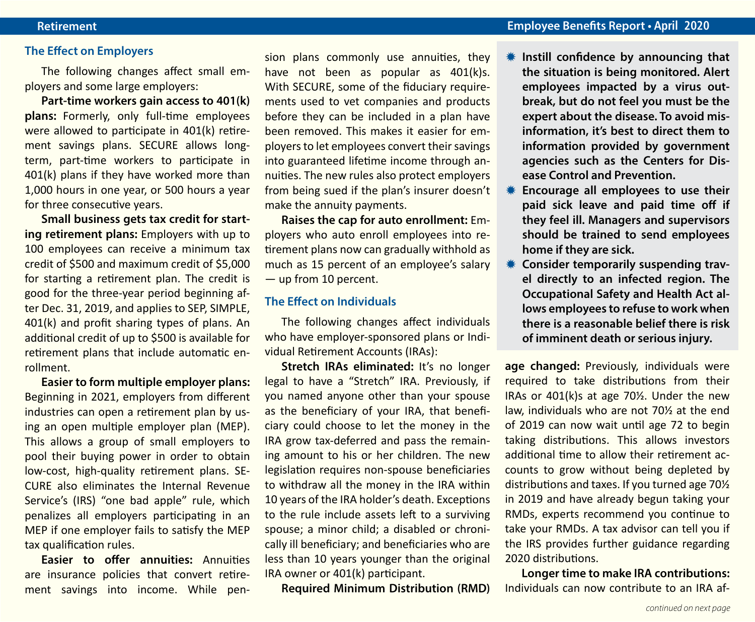#### **The Effect on Employers**

The following changes affect small employers and some large employers:

**Part-time workers gain access to 401(k) plans:** Formerly, only full-time employees were allowed to participate in 401(k) retirement savings plans. SECURE allows longterm, part-time workers to participate in 401(k) plans if they have worked more than 1,000 hours in one year, or 500 hours a year for three consecutive years.

**Small business gets tax credit for starting retirement plans:** Employers with up to 100 employees can receive a minimum tax credit of \$500 and maximum credit of \$5,000 for starting a retirement plan. The credit is good for the three-year period beginning after Dec. 31, 2019, and applies to SEP, SIMPLE, 401(k) and profit sharing types of plans. An additional credit of up to \$500 is available for retirement plans that include automatic enrollment.

**Easier to form multiple employer plans:**  Beginning in 2021, employers from different industries can open a retirement plan by using an open multiple employer plan (MEP). This allows a group of small employers to pool their buying power in order to obtain low-cost, high-quality retirement plans. SE-CURE also eliminates the Internal Revenue Service's (IRS) "one bad apple" rule, which penalizes all employers participating in an MEP if one employer fails to satisfy the MEP tax qualification rules.

**Easier to offer annuities:** Annuities are insurance policies that convert retirement savings into income. While pension plans commonly use annuities, they have not been as popular as 401(k)s. With SECURE, some of the fiduciary requirements used to vet companies and products before they can be included in a plan have been removed. This makes it easier for employers to let employees convert their savings into guaranteed lifetime income through annuities. The new rules also protect employers from being sued if the plan's insurer doesn't make the annuity payments.

**Raises the cap for auto enrollment:** Employers who auto enroll employees into retirement plans now can gradually withhold as much as 15 percent of an employee's salary — up from 10 percent.

#### **The Effect on Individuals**

The following changes affect individuals who have employer-sponsored plans or Individual Retirement Accounts (IRAs):

**Stretch IRAs eliminated:** It's no longer legal to have a "Stretch" IRA. Previously, if you named anyone other than your spouse as the beneficiary of your IRA, that beneficiary could choose to let the money in the IRA grow tax-deferred and pass the remaining amount to his or her children. The new legislation requires non-spouse beneficiaries to withdraw all the money in the IRA within 10 years of the IRA holder's death. Exceptions to the rule include assets left to a surviving spouse; a minor child; a disabled or chronically ill beneficiary; and beneficiaries who are less than 10 years younger than the original IRA owner or 401(k) participant.

**Required Minimum Distribution (RMD)** 

- Instill confidence by announcing that **the situation is being monitored. Alert employees impacted by a virus outbreak, but do not feel you must be the expert about the disease. To avoid misinformation, it's best to direct them to information provided by government agencies such as the Centers for Disease Control and Prevention.**
- **K** Encourage all employees to use their **paid sick leave and paid time off if they feel ill. Managers and supervisors should be trained to send employees home if they are sick.**
- **K** Consider temporarily suspending trav**el directly to an infected region. The Occupational Safety and Health Act allows employees to refuse to work when there is a reasonable belief there is risk of imminent death or serious injury.**

**age changed:** Previously, individuals were required to take distributions from their IRAs or 401(k)s at age 70½. Under the new law, individuals who are not 70½ at the end of 2019 can now wait until age 72 to begin taking distributions. This allows investors additional time to allow their retirement accounts to grow without being depleted by distributions and taxes. If you turned age 70½ in 2019 and have already begun taking your RMDs, experts recommend you continue to take your RMDs. A tax advisor can tell you if the IRS provides further guidance regarding 2020 distributions.

**Longer time to make IRA contributions:**  Individuals can now contribute to an IRA af-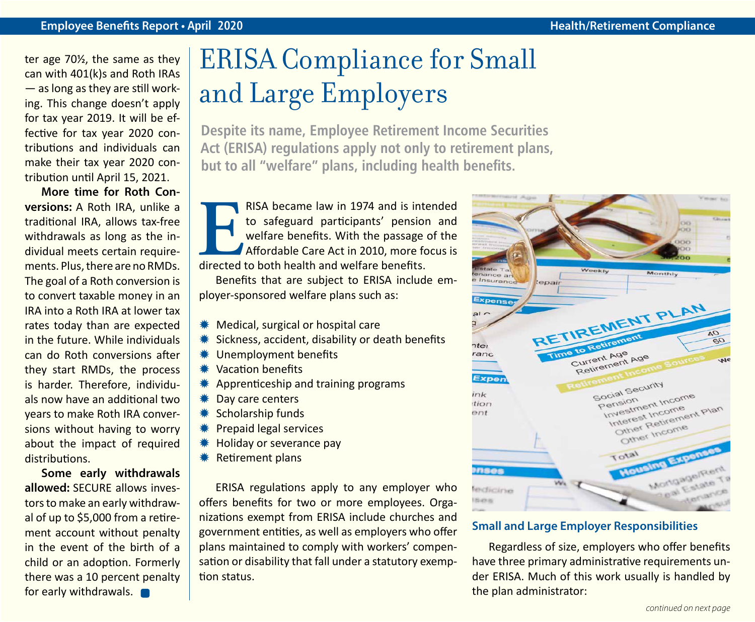#### **Employee Benefits Report • April 2020 April 2020 Health/Retirement Compliance**

ter age 70½, the same as they can with 401(k)s and Roth IRAs — as long as they are still working. This change doesn't apply for tax year 2019. It will be effective for tax year 2020 contributions and individuals can make their tax year 2020 contribution until April 15, 2021.

**More time for Roth Conversions:** A Roth IRA, unlike a traditional IRA, allows tax-free withdrawals as long as the individual meets certain requirements. Plus, there are no RMDs. The goal of a Roth conversion is to convert taxable money in an IRA into a Roth IRA at lower tax rates today than are expected in the future. While individuals can do Roth conversions after they start RMDs, the process is harder. Therefore, individuals now have an additional two years to make Roth IRA conversions without having to worry about the impact of required distributions.

**Some early withdrawals allowed:** SECURE allows investors to make an early withdrawal of up to \$5,000 from a retirement account without penalty in the event of the birth of a child or an adoption. Formerly there was a 10 percent penalty for early withdrawals.

## ERISA Compliance for Small and Large Employers

**Despite its name, Employee Retirement Income Securities Act (ERISA) regulations apply not only to retirement plans, but to all "welfare" plans, including health benefits.** 

RISA became law in 1974 and is intended<br>to safeguard participants' pension and<br>welfare benefits. With the passage of the<br>Affordable Care Act in 2010, more focus is<br>directed to both health and welfare benefits. to safeguard participants' pension and welfare benefits. With the passage of the Affordable Care Act in 2010, more focus is directed to both health and welfare benefits.

Benefits that are subject to ERISA include employer-sponsored welfare plans such as:

- **Wedical, surgical or hospital care**
- $*$  Sickness, accident, disability or death benefits
- **\*\*** Unemployment benefits
- Y Vacation benefits
- $*$  Apprenticeship and training programs
- **\* Day care centers**
- $*$  Scholarship funds
- **\*\*** Prepaid legal services
- **WE** Holiday or severance pay
- **\*** Retirement plans

ERISA regulations apply to any employer who offers benefits for two or more employees. Organizations exempt from ERISA include churches and government entities, as well as employers who offer plans maintained to comply with workers' compensation or disability that fall under a statutory exemption status.



#### **Small and Large Employer Responsibilities**

Regardless of size, employers who offer benefits have three primary administrative requirements under ERISA. Much of this work usually is handled by the plan administrator: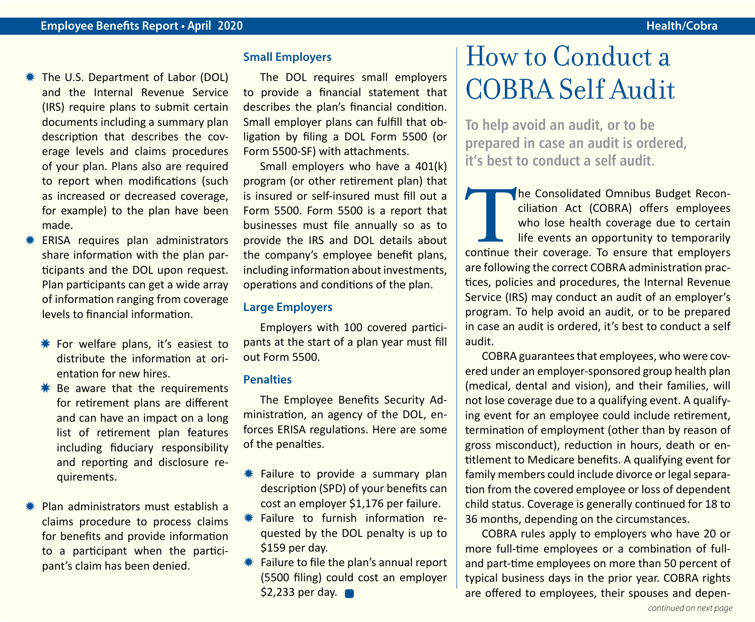- **\# The U.S. Department of Labor (DOL)** and the Internal Revenue Service (IRS) require plans to submit certain documents including a summary plan description that describes the coverage levels and claims procedures of your plan. Plans also are required to report when modifications (such as increased or decreased coverage, for example) to the plan have been made.
- ERISA requires plan administrators share information with the plan participants and the DOL upon request. Plan participants can get a wide array of information ranging from coverage levels to financial information.
	- $*$  For welfare plans, it's easiest to distribute the information at orientation for new hires.
	- $*$  Be aware that the requirements for retirement plans are different and can have an impact on a long list of retirement plan features including fiduciary responsibility and reporting and disclosure requirements.
- Plan administrators must establish a claims procedure to process claims for benefits and provide information to a participant when the participant's claim has been denied.

#### **Small Employers**

The DOL requires small employers to provide a financial statement that describes the plan's financial condition. Small employer plans can fulfill that obligation by filing a DOL Form 5500 (or Form 5500-SF) with attachments.

Small employers who have a 401(k) program (or other retirement plan) that is insured or self-insured must fill out a Form 5500. Form 5500 is a report that businesses must file annually so as to provide the IRS and DOL details about the company's employee benefit plans, including information about investments, operations and conditions of the plan.

#### **Large Employers**

Employers with 100 covered participants at the start of a plan year must fill out Form 5500.

#### **Penalties**

The Employee Benefits Security Administration, an agency of the DOL, enforces ERISA regulations. Here are some of the penalties.

- $*$  Failure to provide a summary plan description (SPD) of your benefits can cost an employer \$1,176 per failure.
- **\*** Failure to furnish information requested by the DOL penalty is up to \$159 per day.
- $*$  Failure to file the plan's annual report (5500 filing) could cost an employer \$2,233 per day.

### How to Conduct a COBRA Self Audit

**To help avoid an audit, or to be prepared in case an audit is ordered, it's best to conduct a self audit.**

The Consolidated Omnibus Budget Reconciliation Act (COBRA) offers employees who lose health coverage due to certain life events an opportunity to temporarily continue their coverage. To ensure that employers ciliation Act (COBRA) offers employees who lose health coverage due to certain life events an opportunity to temporarily are following the correct COBRA administration practices, policies and procedures, the Internal Revenue Service (IRS) may conduct an audit of an employer's program. To help avoid an audit, or to be prepared in case an audit is ordered, it's best to conduct a self audit.

COBRA guarantees that employees, who were covered under an employer-sponsored group health plan (medical, dental and vision), and their families, will not lose coverage due to a qualifying event. A qualifying event for an employee could include retirement, termination of employment (other than by reason of gross misconduct), reduction in hours, death or entitlement to Medicare benefits. A qualifying event for family members could include divorce or legal separation from the covered employee or loss of dependent child status. Coverage is generally continued for 18 to 36 months, depending on the circumstances.

COBRA rules apply to employers who have 20 or more full-time employees or a combination of fulland part-time employees on more than 50 percent of typical business days in the prior year. COBRA rights are offered to employees, their spouses and depen-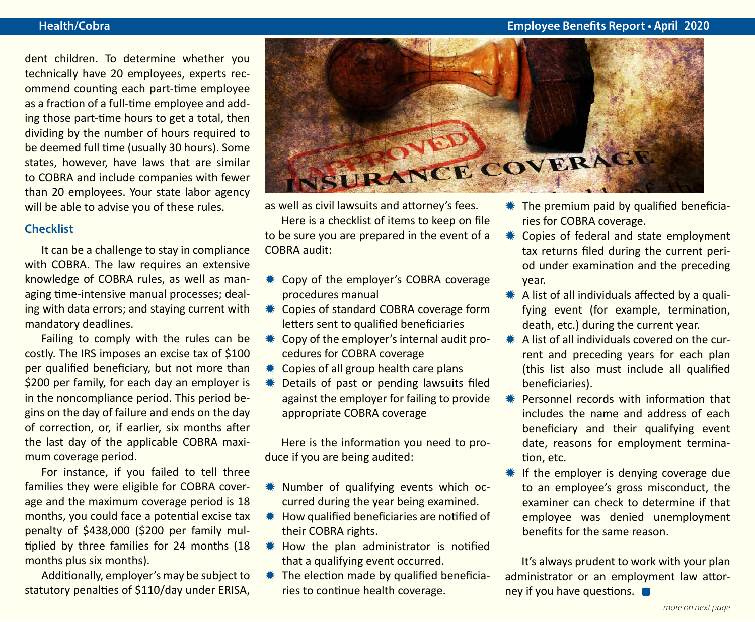#### **Health/Cobra Employee Benefits Report • April 2020**

dent children. To determine whether you technically have 20 employees, experts recommend counting each part-time employee as a fraction of a full-time employee and adding those part-time hours to get a total, then dividing by the number of hours required to be deemed full time (usually 30 hours). Some states, however, have laws that are similar to COBRA and include companies with fewer than 20 employees. Your state labor agency will be able to advise you of these rules.

#### **Checklist**

It can be a challenge to stay in compliance with COBRA. The law requires an extensive knowledge of COBRA rules, as well as managing time-intensive manual processes; dealing with data errors; and staying current with mandatory deadlines.

Failing to comply with the rules can be costly. The IRS imposes an excise tax of \$100 per qualified beneficiary, but not more than \$200 per family, for each day an employer is in the noncompliance period. This period begins on the day of failure and ends on the day of correction, or, if earlier, six months after the last day of the applicable COBRA maximum coverage period.

For instance, if you failed to tell three families they were eligible for COBRA coverage and the maximum coverage period is 18 months, you could face a potential excise tax penalty of \$438,000 (\$200 per family multiplied by three families for 24 months (18 months plus six months).

Additionally, employer's may be subject to statutory penalties of \$110/day under ERISA,



as well as civil lawsuits and attorney's fees.

Here is a checklist of items to keep on file to be sure you are prepared in the event of a COBRA audit:

- **\*\*** Copy of the employer's COBRA coverage procedures manual
- **\*\*** Copies of standard COBRA coverage form letters sent to qualified beneficiaries
- **\\*** Copy of the employer's internal audit procedures for COBRA coverage
- Copies of all group health care plans
- Details of past or pending lawsuits filed against the employer for failing to provide appropriate COBRA coverage

Here is the information you need to produce if you are being audited:

- **\*** Number of qualifying events which occurred during the year being examined.
- $*$  How qualified beneficiaries are notified of their COBRA rights.
- **\# How the plan administrator is notified** that a qualifying event occurred.
- $*$  The election made by qualified beneficiaries to continue health coverage.
- $*$  The premium paid by qualified beneficiaries for COBRA coverage.
- **\*\*** Copies of federal and state employment tax returns filed during the current period under examination and the preceding year.
- $*$  A list of all individuals affected by a qualifying event (for example, termination, death, etc.) during the current year.
- $*$  A list of all individuals covered on the current and preceding years for each plan (this list also must include all qualified beneficiaries).
- **\*\*** Personnel records with information that includes the name and address of each beneficiary and their qualifying event date, reasons for employment termination, etc.
- $*$  If the employer is denying coverage due to an employee's gross misconduct, the examiner can check to determine if that employee was denied unemployment benefits for the same reason.

It's always prudent to work with your plan administrator or an employment law attorney if you have questions.